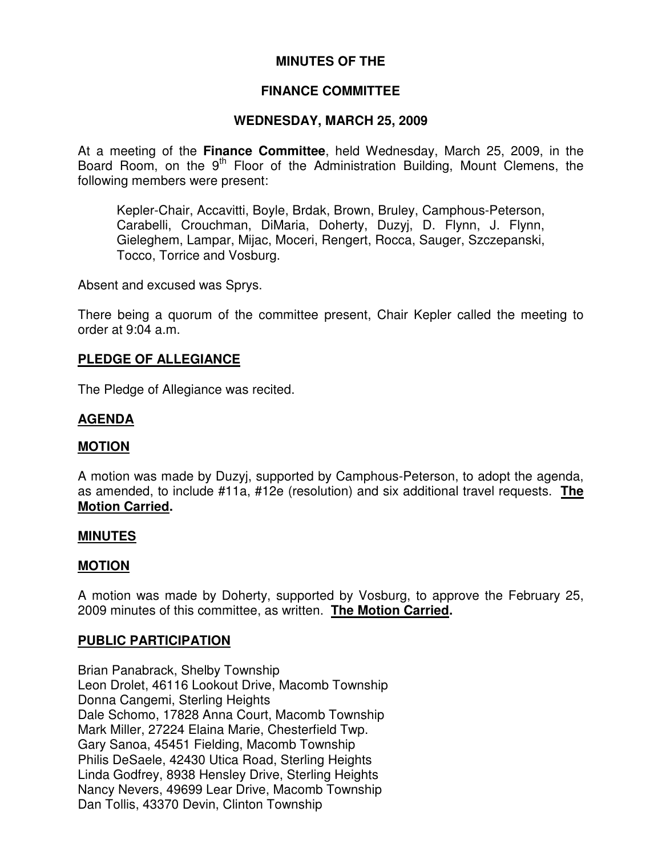# **MINUTES OF THE**

# **FINANCE COMMITTEE**

# **WEDNESDAY, MARCH 25, 2009**

At a meeting of the **Finance Committee**, held Wednesday, March 25, 2009, in the Board Room, on the 9<sup>th</sup> Floor of the Administration Building, Mount Clemens, the following members were present:

Kepler-Chair, Accavitti, Boyle, Brdak, Brown, Bruley, Camphous-Peterson, Carabelli, Crouchman, DiMaria, Doherty, Duzyj, D. Flynn, J. Flynn, Gieleghem, Lampar, Mijac, Moceri, Rengert, Rocca, Sauger, Szczepanski, Tocco, Torrice and Vosburg.

Absent and excused was Sprys.

There being a quorum of the committee present, Chair Kepler called the meeting to order at 9:04 a.m.

## **PLEDGE OF ALLEGIANCE**

The Pledge of Allegiance was recited.

# **AGENDA**

#### **MOTION**

A motion was made by Duzyj, supported by Camphous-Peterson, to adopt the agenda, as amended, to include #11a, #12e (resolution) and six additional travel requests. **The Motion Carried.**

#### **MINUTES**

## **MOTION**

A motion was made by Doherty, supported by Vosburg, to approve the February 25, 2009 minutes of this committee, as written. **The Motion Carried.**

## **PUBLIC PARTICIPATION**

Brian Panabrack, Shelby Township Leon Drolet, 46116 Lookout Drive, Macomb Township Donna Cangemi, Sterling Heights Dale Schomo, 17828 Anna Court, Macomb Township Mark Miller, 27224 Elaina Marie, Chesterfield Twp. Gary Sanoa, 45451 Fielding, Macomb Township Philis DeSaele, 42430 Utica Road, Sterling Heights Linda Godfrey, 8938 Hensley Drive, Sterling Heights Nancy Nevers, 49699 Lear Drive, Macomb Township Dan Tollis, 43370 Devin, Clinton Township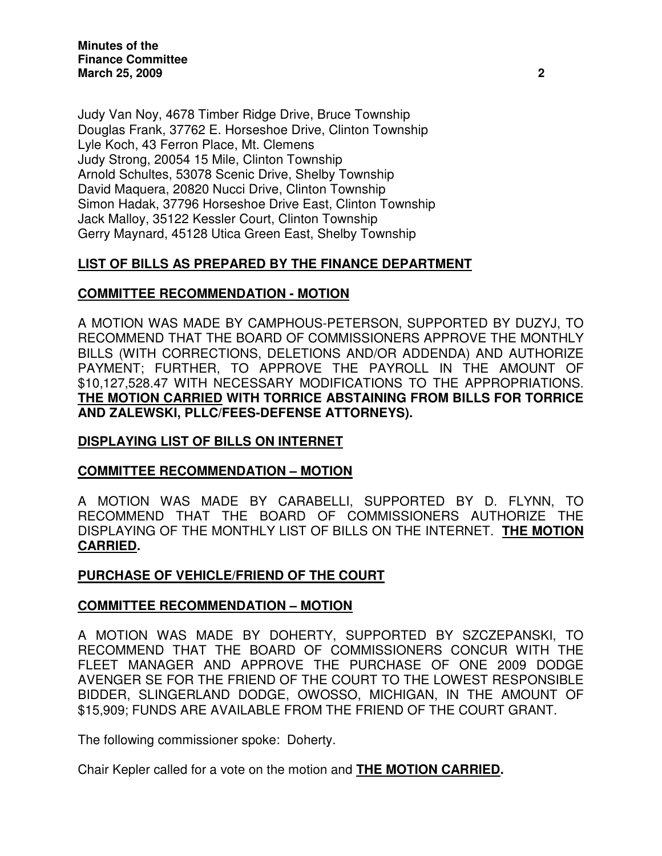**Minutes of the Finance Committee March 25, 2009 2**

Judy Van Noy, 4678 Timber Ridge Drive, Bruce Township Douglas Frank, 37762 E. Horseshoe Drive, Clinton Township Lyle Koch, 43 Ferron Place, Mt. Clemens Judy Strong, 20054 15 Mile, Clinton Township Arnold Schultes, 53078 Scenic Drive, Shelby Township David Maquera, 20820 Nucci Drive, Clinton Township Simon Hadak, 37796 Horseshoe Drive East, Clinton Township Jack Malloy, 35122 Kessler Court, Clinton Township Gerry Maynard, 45128 Utica Green East, Shelby Township

# **LIST OF BILLS AS PREPARED BY THE FINANCE DEPARTMENT**

## **COMMITTEE RECOMMENDATION - MOTION**

A MOTION WAS MADE BY CAMPHOUS-PETERSON, SUPPORTED BY DUZYJ, TO RECOMMEND THAT THE BOARD OF COMMISSIONERS APPROVE THE MONTHLY BILLS (WITH CORRECTIONS, DELETIONS AND/OR ADDENDA) AND AUTHORIZE PAYMENT; FURTHER, TO APPROVE THE PAYROLL IN THE AMOUNT OF \$10,127,528.47 WITH NECESSARY MODIFICATIONS TO THE APPROPRIATIONS. **THE MOTION CARRIED WITH TORRICE ABSTAINING FROM BILLS FOR TORRICE AND ZALEWSKI, PLLC/FEES-DEFENSE ATTORNEYS).**

## **DISPLAYING LIST OF BILLS ON INTERNET**

## **COMMITTEE RECOMMENDATION – MOTION**

A MOTION WAS MADE BY CARABELLI, SUPPORTED BY D. FLYNN, TO RECOMMEND THAT THE BOARD OF COMMISSIONERS AUTHORIZE THE DISPLAYING OF THE MONTHLY LIST OF BILLS ON THE INTERNET. **THE MOTION CARRIED.**

## **PURCHASE OF VEHICLE/FRIEND OF THE COURT**

## **COMMITTEE RECOMMENDATION – MOTION**

A MOTION WAS MADE BY DOHERTY, SUPPORTED BY SZCZEPANSKI, TO RECOMMEND THAT THE BOARD OF COMMISSIONERS CONCUR WITH THE FLEET MANAGER AND APPROVE THE PURCHASE OF ONE 2009 DODGE AVENGER SE FOR THE FRIEND OF THE COURT TO THE LOWEST RESPONSIBLE BIDDER, SLINGERLAND DODGE, OWOSSO, MICHIGAN, IN THE AMOUNT OF \$15,909; FUNDS ARE AVAILABLE FROM THE FRIEND OF THE COURT GRANT.

The following commissioner spoke: Doherty.

Chair Kepler called for a vote on the motion and **THE MOTION CARRIED.**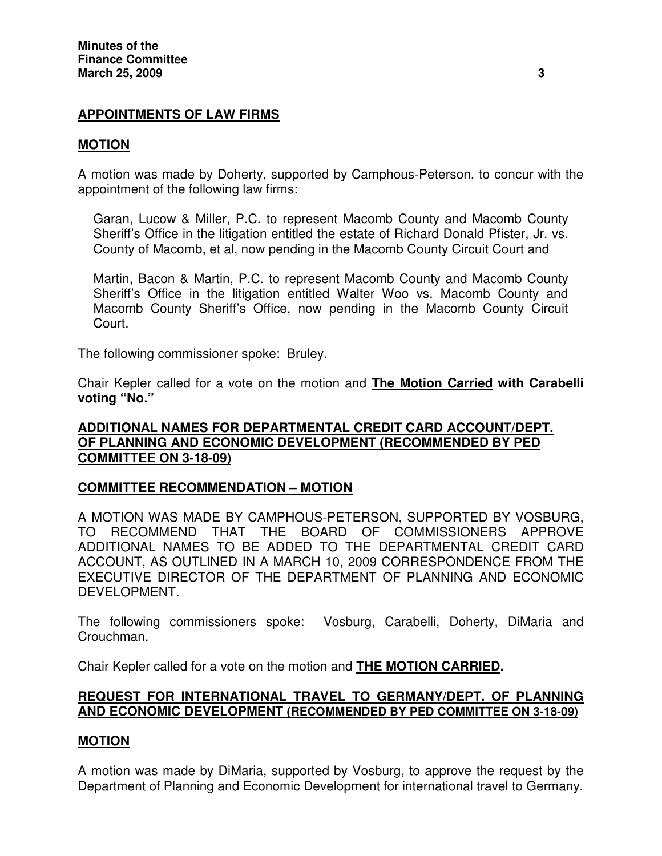# **APPOINTMENTS OF LAW FIRMS**

## **MOTION**

A motion was made by Doherty, supported by Camphous-Peterson, to concur with the appointment of the following law firms:

Garan, Lucow & Miller, P.C. to represent Macomb County and Macomb County Sheriff's Office in the litigation entitled the estate of Richard Donald Pfister, Jr. vs. County of Macomb, et al, now pending in the Macomb County Circuit Court and

Martin, Bacon & Martin, P.C. to represent Macomb County and Macomb County Sheriff's Office in the litigation entitled Walter Woo vs. Macomb County and Macomb County Sheriff's Office, now pending in the Macomb County Circuit Court.

The following commissioner spoke: Bruley.

Chair Kepler called for a vote on the motion and **The Motion Carried with Carabelli voting "No."**

## **ADDITIONAL NAMES FOR DEPARTMENTAL CREDIT CARD ACCOUNT/DEPT. OF PLANNING AND ECONOMIC DEVELOPMENT (RECOMMENDED BY PED COMMITTEE ON 3-18-09)**

## **COMMITTEE RECOMMENDATION – MOTION**

A MOTION WAS MADE BY CAMPHOUS-PETERSON, SUPPORTED BY VOSBURG, TO RECOMMEND THAT THE BOARD OF COMMISSIONERS APPROVE ADDITIONAL NAMES TO BE ADDED TO THE DEPARTMENTAL CREDIT CARD ACCOUNT, AS OUTLINED IN A MARCH 10, 2009 CORRESPONDENCE FROM THE EXECUTIVE DIRECTOR OF THE DEPARTMENT OF PLANNING AND ECONOMIC DEVELOPMENT.

The following commissioners spoke: Vosburg, Carabelli, Doherty, DiMaria and Crouchman.

Chair Kepler called for a vote on the motion and **THE MOTION CARRIED.**

## **REQUEST FOR INTERNATIONAL TRAVEL TO GERMANY/DEPT. OF PLANNING AND ECONOMIC DEVELOPMENT (RECOMMENDED BY PED COMMITTEE ON 3-18-09)**

## **MOTION**

A motion was made by DiMaria, supported by Vosburg, to approve the request by the Department of Planning and Economic Development for international travel to Germany.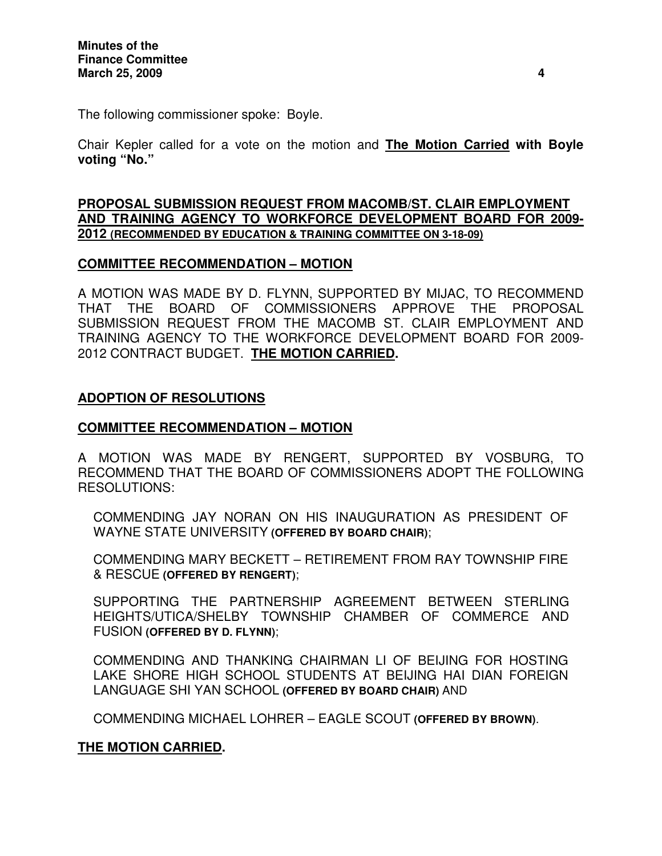The following commissioner spoke: Boyle.

Chair Kepler called for a vote on the motion and **The Motion Carried with Boyle voting "No."**

#### **PROPOSAL SUBMISSION REQUEST FROM MACOMB/ST. CLAIR EMPLOYMENT AND TRAINING AGENCY TO WORKFORCE DEVELOPMENT BOARD FOR 2009- 2012 (RECOMMENDED BY EDUCATION & TRAINING COMMITTEE ON 3-18-09)**

## **COMMITTEE RECOMMENDATION – MOTION**

A MOTION WAS MADE BY D. FLYNN, SUPPORTED BY MIJAC, TO RECOMMEND THAT THE BOARD OF COMMISSIONERS APPROVE THE PROPOSAL SUBMISSION REQUEST FROM THE MACOMB ST. CLAIR EMPLOYMENT AND TRAINING AGENCY TO THE WORKFORCE DEVELOPMENT BOARD FOR 2009- 2012 CONTRACT BUDGET. **THE MOTION CARRIED.**

## **ADOPTION OF RESOLUTIONS**

# **COMMITTEE RECOMMENDATION – MOTION**

A MOTION WAS MADE BY RENGERT, SUPPORTED BY VOSBURG, TO RECOMMEND THAT THE BOARD OF COMMISSIONERS ADOPT THE FOLLOWING RESOLUTIONS:

COMMENDING JAY NORAN ON HIS INAUGURATION AS PRESIDENT OF WAYNE STATE UNIVERSITY **(OFFERED BY BOARD CHAIR)**;

COMMENDING MARY BECKETT – RETIREMENT FROM RAY TOWNSHIP FIRE & RESCUE **(OFFERED BY RENGERT)**;

SUPPORTING THE PARTNERSHIP AGREEMENT BETWEEN STERLING HEIGHTS/UTICA/SHELBY TOWNSHIP CHAMBER OF COMMERCE AND FUSION **(OFFERED BY D. FLYNN)**;

COMMENDING AND THANKING CHAIRMAN LI OF BEIJING FOR HOSTING LAKE SHORE HIGH SCHOOL STUDENTS AT BEIJING HAI DIAN FOREIGN LANGUAGE SHI YAN SCHOOL **(OFFERED BY BOARD CHAIR)** AND

COMMENDING MICHAEL LOHRER – EAGLE SCOUT **(OFFERED BY BROWN)**.

## **THE MOTION CARRIED.**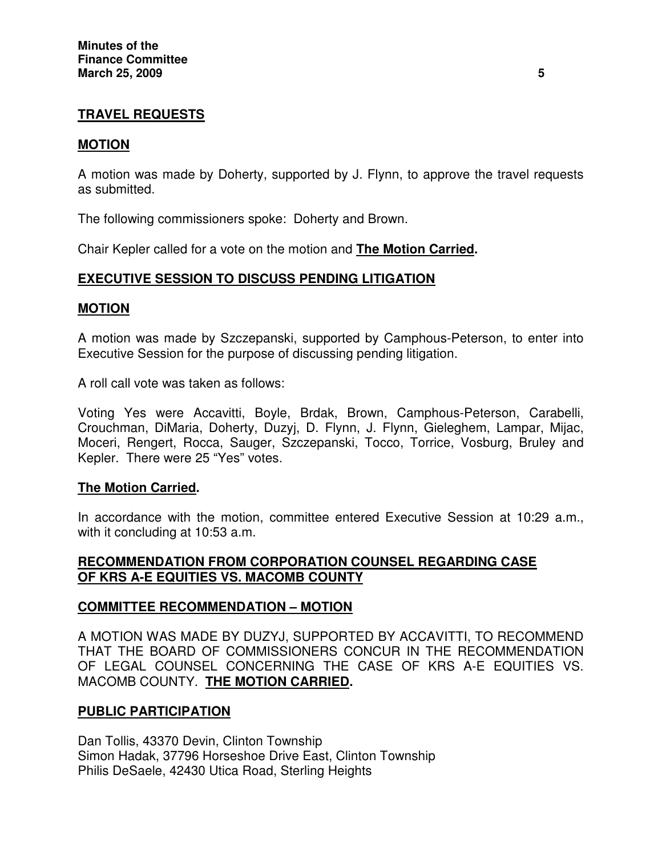# **TRAVEL REQUESTS**

## **MOTION**

A motion was made by Doherty, supported by J. Flynn, to approve the travel requests as submitted.

The following commissioners spoke: Doherty and Brown.

Chair Kepler called for a vote on the motion and **The Motion Carried.**

## **EXECUTIVE SESSION TO DISCUSS PENDING LITIGATION**

#### **MOTION**

A motion was made by Szczepanski, supported by Camphous-Peterson, to enter into Executive Session for the purpose of discussing pending litigation.

A roll call vote was taken as follows:

Voting Yes were Accavitti, Boyle, Brdak, Brown, Camphous-Peterson, Carabelli, Crouchman, DiMaria, Doherty, Duzyj, D. Flynn, J. Flynn, Gieleghem, Lampar, Mijac, Moceri, Rengert, Rocca, Sauger, Szczepanski, Tocco, Torrice, Vosburg, Bruley and Kepler. There were 25 "Yes" votes.

## **The Motion Carried.**

In accordance with the motion, committee entered Executive Session at 10:29 a.m., with it concluding at 10:53 a.m.

#### **RECOMMENDATION FROM CORPORATION COUNSEL REGARDING CASE OF KRS A-E EQUITIES VS. MACOMB COUNTY**

## **COMMITTEE RECOMMENDATION – MOTION**

A MOTION WAS MADE BY DUZYJ, SUPPORTED BY ACCAVITTI, TO RECOMMEND THAT THE BOARD OF COMMISSIONERS CONCUR IN THE RECOMMENDATION OF LEGAL COUNSEL CONCERNING THE CASE OF KRS A-E EQUITIES VS. MACOMB COUNTY. **THE MOTION CARRIED.**

## **PUBLIC PARTICIPATION**

Dan Tollis, 43370 Devin, Clinton Township Simon Hadak, 37796 Horseshoe Drive East, Clinton Township Philis DeSaele, 42430 Utica Road, Sterling Heights